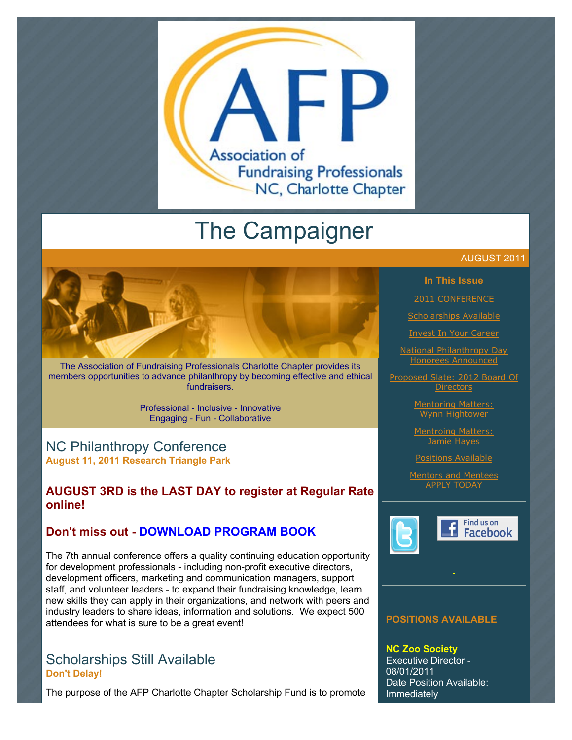

# The Campaigner

The Association of Fundraising Professionals Charlotte Chapter provides its members opportunities to advance philanthropy by becoming effective and ethical fundraisers.

> Professional - Inclusive - Innovative Engaging - Fun - Collaborative

# NC Philanthropy Conference **August 11, 2011 Research Triangle Park**

# **AUGUST 3RD is the LAST DAY to register at Regular Rate online!**

# **Don't miss out - [DOWNLOAD PROGRAM BOOK](http://www.afp-charlotte.org/customers/102012921065393/filemanager/2011_Conf_Program_Book.pdf)**

The 7th annual conference offers a quality continuing education opportunity for development professionals - including non-profit executive directors, development officers, marketing and communication managers, support staff, and volunteer leaders - to expand their fundraising knowledge, learn new skills they can apply in their organizations, and network with peers and industry leaders to share ideas, information and solutions. We expect 500 attendees for what is sure to be a great event!

# Scholarships Still Available **Don't Delay!**

The purpose of the AFP Charlotte Chapter Scholarship Fund is to promote

### AUGUST 2011

### **In This Issue**

[2011 CONFERENCE](http://archive.constantcontact.com/fs051/1101610725496/archive/1106973087421.html#LETTER.BLOCK6)

[Scholarships Available](http://archive.constantcontact.com/fs051/1101610725496/archive/1106973087421.html#LETTER.BLOCK8)

[Invest In Your Career](http://archive.constantcontact.com/fs051/1101610725496/archive/1106973087421.html#LETTER.BLOCK10)

[National Philanthropy Day](http://archive.constantcontact.com/fs051/1101610725496/archive/1106973087421.html#LETTER.BLOCK47) Honorees Announced

[Proposed Slate: 2012 Board Of](http://archive.constantcontact.com/fs051/1101610725496/archive/1106973087421.html#LETTER.BLOCK44) **Directors** 

> [Mentoring Matters:](http://archive.constantcontact.com/fs051/1101610725496/archive/1106973087421.html#LETTER.BLOCK45) Wynn Hightower

> [Mentroing Matters:](http://archive.constantcontact.com/fs051/1101610725496/archive/1106973087421.html#LETTER.BLOCK46) Jamie Hayes

> [Positions Available](http://archive.constantcontact.com/fs051/1101610725496/archive/1106973087421.html#LETTER.BLOCK51)

[Mentors and Mentees](http://archive.constantcontact.com/fs051/1101610725496/archive/1106973087421.html#LETTER.BLOCK38) APPLY TODAY





# **POSITIONS AVAILABLE**

**NC Zoo Society** Executive Director - 08/01/2011 Date Position Available: Immediately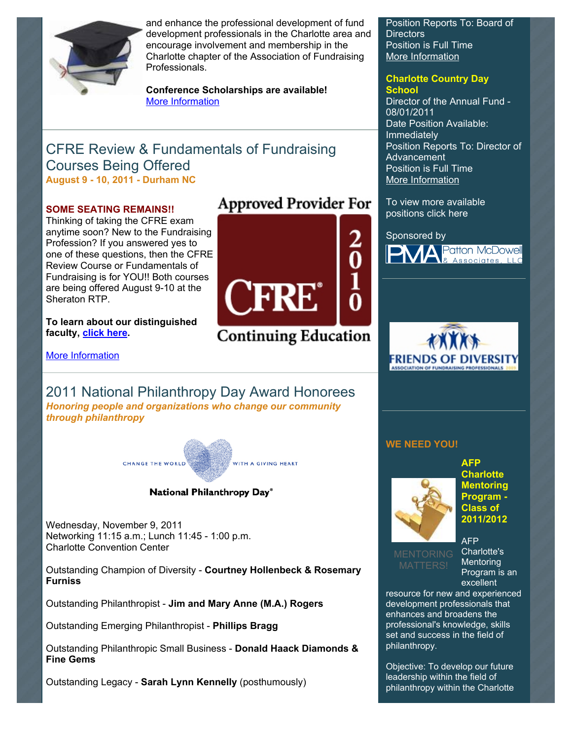

and enhance the professional development of fund development professionals in the Charlotte area and encourage involvement and membership in the Charlotte chapter of the Association of Fundraising Professionals.

**Conference Scholarships are available!**  [More Information](http://www.afp-charlotte.org/scholarships.html)

# CFRE Review & Fundamentals of Fundraising Courses Being Offered **August 9 - 10, 2011 - Durham NC**

### **SOME SEATING REMAINS!!**

Thinking of taking the CFRE exam anytime soon? New to the Fundraising Profession? If you answered yes to one of these questions, then the CFRE Review Course or Fundamentals of Fundraising is for YOU!! Both courses are being offered August 9-10 at the Sheraton RTP.

**To learn about our distinguished faculty, [click here.](http://www.afp-charlotte.org/customers/102012921065393/filemanager/2011_Faculty_Bios.pdf)**

[More Information](http://www.ncphilanthropyconference.org/pre_conferencecourses.html)

# 2011 National Philanthropy Day Award Honorees *Honoring people and organizations who change our community through philanthropy*



### National Philanthropy Day®

Wednesday, November 9, 2011 Networking 11:15 a.m.; Lunch 11:45 - 1:00 p.m. Charlotte Convention Center

Outstanding Champion of Diversity - **Courtney Hollenbeck & Rosemary Furniss**

Outstanding Philanthropist - **Jim and Mary Anne (M.A.) Rogers**

Outstanding Emerging Philanthropist - **Phillips Bragg**

Outstanding Philanthropic Small Business - **Donald Haack Diamonds & Fine Gems**

Outstanding Legacy - **Sarah Lynn Kennelly** (posthumously)

# **Approved Provider For**



**Continuing Education** 

Position Reports To: Board of Directors Position is Full Time [More Information](http://www.afp-charlotte.org/customers/102012921065393/filemanager/080111_NCZoo.pdf)

# **Charlotte Country Day**

**School**  Director of the Annual Fund - 08/01/2011 Date Position Available: Immediately Position Reports To: Director of Advancement Position is Full Time [More Information](http://www.afp-charlotte.org/customers/102012921065393/filemanager/080111_CCDS.pdf)

To view more available positions click here

### Sponsored by





### **WE NEED YOU!**



**AFP Charlotte Mentoring Program - Class of 2011/2012** 

AFP Charlotte's **Mentoring** Program is an excellent

resource for new and experienced development professionals that enhances and broadens the professional's knowledge, skills set and success in the field of philanthropy.

Objective: To develop our future leadership within the field of philanthropy within the Charlotte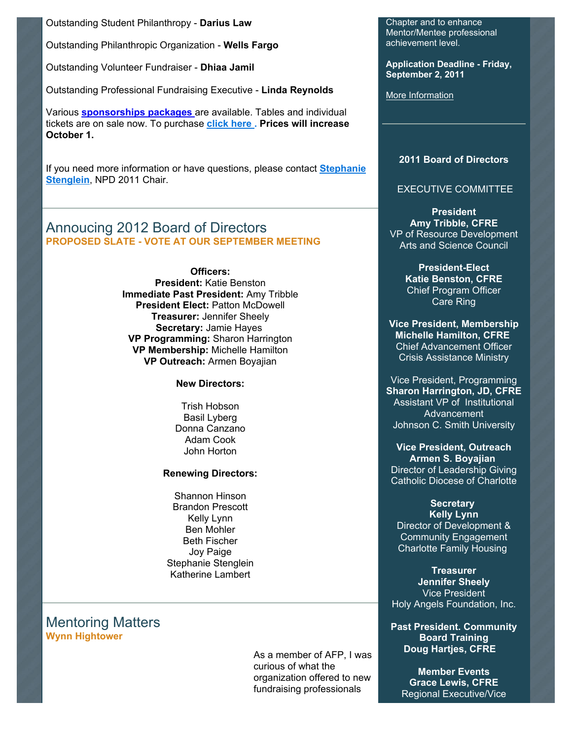Outstanding Student Philanthropy - **Darius Law**

Outstanding Philanthropic Organization - **Wells Fargo**

Outstanding Volunteer Fundraiser - **Dhiaa Jamil**

Outstanding Professional Fundraising Executive - **Linda Reynolds**

Various **[sponsorships packages](http://www.afp-charlotte.org/npdsponsorship.html)** are available. Tables and individual tickets are on sale now. To purchase **[click here](http://www.afp-charlotte.org/rsvp_details.html?id=3284) . Prices will increase October 1.**

[If you need more information or have questions, please contact](mailto:StephanieS@charlottesymphony.org) **Stephanie Stenglein**, NPD 2011 Chair.

# Annoucing 2012 Board of Directors **PROPOSED SLATE - VOTE AT OUR SEPTEMBER MEETING**

**Officers: President:** Katie Benston **Immediate Past President:** Amy Tribble **President Elect:** Patton McDowell **Treasurer:** Jennifer Sheely **Secretary:** Jamie Hayes **VP Programming:** Sharon Harrington **VP Membership:** Michelle Hamilton **VP Outreach:** Armen Boyajian

**New Directors:**

Trish Hobson Basil Lyberg Donna Canzano Adam Cook John Horton

#### **Renewing Directors:**

Shannon Hinson Brandon Prescott Kelly Lynn Ben Mohler Beth Fischer Joy Paige Stephanie Stenglein Katherine Lambert

Mentoring Matters **Wynn Hightower**

> As a member of AFP, I was curious of what the organization offered to new fundraising professionals

Chapter and to enhance Mentor/Mentee professional achievement level.

**Application Deadline - Friday, September 2, 2011**

[More Information](http://www.afp-charlotte.org/page4.html)

### **2011 Board of Directors**

### EXECUTIVE COMMITTEE

**President Amy Tribble, CFRE** VP of Resource Development Arts and Science Council

> **President-Elect Katie Benston, CFRE** Chief Program Officer Care Ring

**Vice President, Membership Michelle Hamilton, CFRE** Chief Advancement Officer Crisis Assistance Ministry

Vice President, Programming **Sharon Harrington, JD, CFRE** Assistant VP of Institutional Advancement Johnson C. Smith University

**Vice President, Outreach Armen S. Boyajian** Director of Leadership Giving Catholic Diocese of Charlotte

### **Secretary Kelly Lynn** Director of Development & Community Engagement Charlotte Family Housing

**Treasurer Jennifer Sheely** Vice President Holy Angels Foundation, Inc.

**Past President. Community Board Training Doug Hartjes, CFRE**

**Member Events Grace Lewis, CFRE** Regional Executive/Vice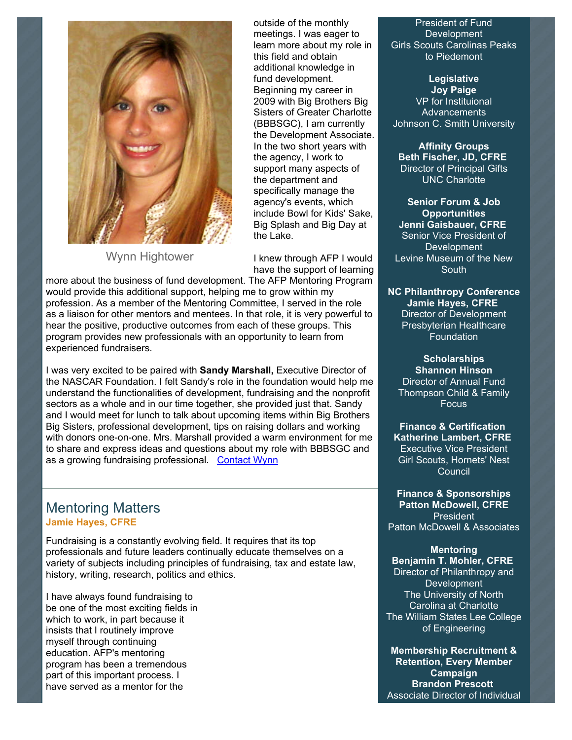

Wynn Hightower

outside of the monthly meetings. I was eager to learn more about my role in this field and obtain additional knowledge in fund development. Beginning my career in 2009 with Big Brothers Big Sisters of Greater Charlotte (BBBSGC), I am currently the Development Associate. In the two short years with the agency, I work to support many aspects of the department and specifically manage the agency's events, which include Bowl for Kids' Sake, Big Splash and Big Day at the Lake.

I knew through AFP I would have the support of learning

more about the business of fund development. The AFP Mentoring Program would provide this additional support, helping me to grow within my profession. As a member of the Mentoring Committee, I served in the role as a liaison for other mentors and mentees. In that role, it is very powerful to hear the positive, productive outcomes from each of these groups. This program provides new professionals with an opportunity to learn from experienced fundraisers.

I was very excited to be paired with **Sandy Marshall,** Executive Director of the NASCAR Foundation. I felt Sandy's role in the foundation would help me understand the functionalities of development, fundraising and the nonprofit sectors as a whole and in our time together, she provided just that. Sandy and I would meet for lunch to talk about upcoming items within Big Brothers Big Sisters, professional development, tips on raising dollars and working with donors one-on-one. Mrs. Marshall provided a warm environment for me to share and express ideas and questions about my role with BBBSGC and as a growing fundraising professional. [Contact Wynn](mailto:wynnhightower@live.com)

# Mentoring Matters **Jamie Hayes, CFRE**

Fundraising is a constantly evolving field. It requires that its top professionals and future leaders continually educate themselves on a variety of subjects including principles of fundraising, tax and estate law, history, writing, research, politics and ethics.

I have always found fundraising to be one of the most exciting fields in which to work, in part because it insists that I routinely improve myself through continuing education. AFP's mentoring program has been a tremendous part of this important process. I have served as a mentor for the

President of Fund Development Girls Scouts Carolinas Peaks to Piedemont

**Legislative Joy Paige** VP for Instituional Advancements Johnson C. Smith University

**Affinity Groups Beth Fischer, JD, CFRE** Director of Principal Gifts UNC Charlotte

**Senior Forum & Job Opportunities Jenni Gaisbauer, CFRE** Senior Vice President of **Development** Levine Museum of the New **South** 

**NC Philanthropy Conference Jamie Hayes, CFRE** Director of Development Presbyterian Healthcare **Foundation** 

**Scholarships Shannon Hinson** Director of Annual Fund Thompson Child & Family **Focus** 

**Finance & Certification Katherine Lambert, CFRE** Executive Vice President Girl Scouts, Hornets' Nest Council

**Finance & Sponsorships Patton McDowell, CFRE** President Patton McDowell & Associates

**Mentoring**

**Benjamin T. Mohler, CFRE** Director of Philanthropy and **Development** The University of North Carolina at Charlotte The William States Lee College of Engineering

**Membership Recruitment & Retention, Every Member Campaign Brandon Prescott** Associate Director of Individual